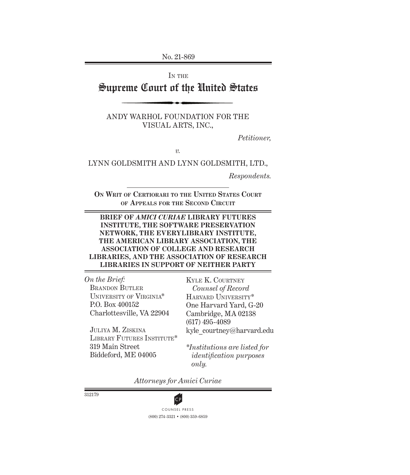No. 21-869

IN THE

# Supreme Court of the United States

ANDY WARHOL FOUNDATION FOR THE VISUAL ARTS, INC.,

*Petitioner,*

*v.*

LYNN GOLDSMITH AND LYNN GOLDSMITH, LTD.,

*Respondents.*

**On Writ of Certiorari to the United States Court of Appeals for the Second Circuit**

#### **BRIEF OF** *AMICI CURIAE* **LIBRARY FUTURES INSTITUTE, THE SOFTWARE PRESERVATION NETWORK, THE EVERYLIBRARY INSTITUTE, THE AMERICAN LIBRARY ASSOCIATION, THE ASSOCIATION OF COLLEGE AND RESEARCH LIBRARIES, AND THE ASSOCIATION OF RESEARCH LIBRARIES IN SUPPORT OF NEITHER PARTY**

*On the Brief:* BRANDON BUTLER University of Virginia\* P.O. Box 400152 Charlottesville, VA 22904

Harvard University\* One Harvard Yard, G-20 Cambridge, MA 02138 (617) 495-4089 kyle courtney@harvard.edu

Kyle K. Courtney *Counsel of Record*

Juliya M. Ziskina LIBRARY FUTURES INSTITUTE\* 319 Main Street Biddeford, ME 04005

*\*Institutions are listed for identification purposes only.*

*Attorneys for Amici Curiae*

312179



(800) 274-3321 • (800) 359-6859 **CP**<br>COUNSEL PRESS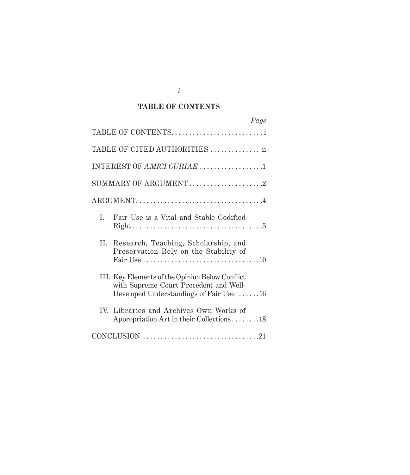### **TABLE OF CONTENTS**

|                            | Page                                                                                                                                                                       |  |
|----------------------------|----------------------------------------------------------------------------------------------------------------------------------------------------------------------------|--|
|                            | TABLE OF CONTENTSi                                                                                                                                                         |  |
|                            | TABLE OF CITED AUTHORITIES  ii                                                                                                                                             |  |
| INTEREST OF AMICI CURIAE 1 |                                                                                                                                                                            |  |
| SUMMARY OF ARGUMENT2       |                                                                                                                                                                            |  |
|                            |                                                                                                                                                                            |  |
| L.                         | Fair Use is a Vital and Stable Codified                                                                                                                                    |  |
|                            | II. Research, Teaching, Scholarship, and<br>Preservation Rely on the Stability of<br>Fair Use $\dots \dots \dots \dots \dots \dots \dots \dots \dots \dots \dots \dots 10$ |  |
|                            | III. Key Elements of the Opinion Below Conflict<br>with Supreme Court Precedent and Well-<br>Developed Understandings of Fair Use 16                                       |  |
|                            | IV. Libraries and Archives Own Works of<br>Appropriation Art in their Collections18                                                                                        |  |
|                            |                                                                                                                                                                            |  |

*i*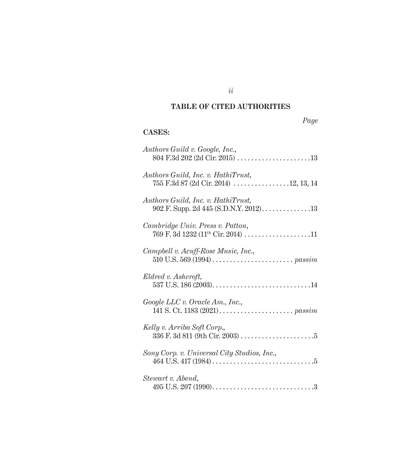### **TABLE OF CITED AUTHORITIES**

# **CASES:**

| Authors Guild v. Google, Inc.,<br>$804 \text{ F.}3d 202 \text{ (2d Cir. } 2015) \dots \dots \dots \dots \dots \dots \dots \dots 13$ |
|-------------------------------------------------------------------------------------------------------------------------------------|
| Authors Guild, Inc. v. HathiTrust,<br>755 F.3d 87 (2d Cir. 2014) 12, 13, 14                                                         |
| Authors Guild, Inc. v. HathiTrust,<br>902 F. Supp. 2d 445 (S.D.N.Y. 2012). $\dots \dots \dots \dots 13$                             |
| Cambridge Univ. Press v. Patton,<br>769 F. 3d 1232 (11 <sup>th</sup> Cir. 2014) 11                                                  |
| Campbell v. Acuff-Rose Music, Inc.,                                                                                                 |
| Eldred v. Ashcroft,                                                                                                                 |
| Google LLC v. Oracle Am., Inc.,                                                                                                     |
| Kelly v. Arriba Soft Corp.,                                                                                                         |
| Sony Corp. v. Universal City Studios, Inc.,                                                                                         |
| Stewart v. Abend,                                                                                                                   |

*ii*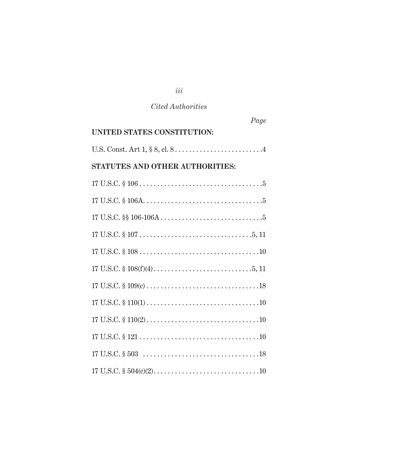| Page                            |  |
|---------------------------------|--|
| UNITED STATES CONSTITUTION:     |  |
|                                 |  |
| STATUTES AND OTHER AUTHORITIES: |  |
|                                 |  |
|                                 |  |
|                                 |  |
|                                 |  |
|                                 |  |
|                                 |  |
|                                 |  |
|                                 |  |
|                                 |  |
|                                 |  |
|                                 |  |
|                                 |  |

*iii*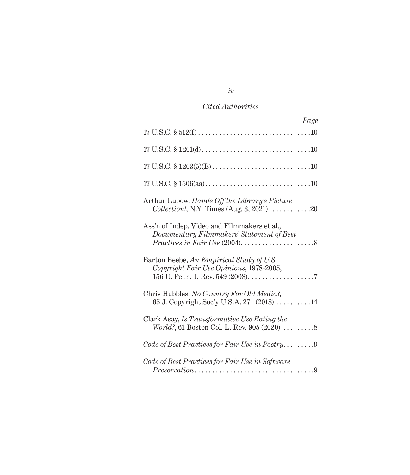| Page                                                                                                                                            |
|-------------------------------------------------------------------------------------------------------------------------------------------------|
|                                                                                                                                                 |
|                                                                                                                                                 |
|                                                                                                                                                 |
|                                                                                                                                                 |
| Arthur Lubow, Hands Off the Library's Picture<br>$Collection!, N.Y. Times (Aug. 3, 2021) \ldots \ldots \ldots \ldots \ldots 20$                 |
| Ass'n of Indep. Video and Filmmakers et al.,<br>Documentary Filmmakers' Statement of Best                                                       |
| Barton Beebe, An Empirical Study of U.S.<br>Copyright Fair Use Opinions, 1978-2005,                                                             |
| Chris Hubbles, No Country For Old Media?,<br>65 J. Copyright Soc'y U.S.A. 271 (2018)  14                                                        |
| Clark Asay, Is Transformative Use Eating the                                                                                                    |
|                                                                                                                                                 |
| Code of Best Practices for Fair Use in Software<br>$Preservation \dots \dots \dots \dots \dots \dots \dots \dots \dots \dots \dots \dots \dots$ |

*iv*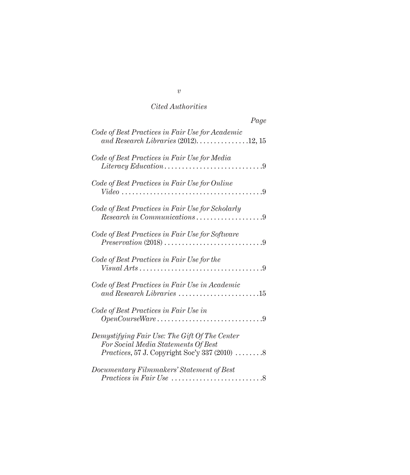| Page                                                                                                                                          |
|-----------------------------------------------------------------------------------------------------------------------------------------------|
| Code of Best Practices in Fair Use for Academic<br>and Research Libraries $(2012)$ 12, 15                                                     |
| Code of Best Practices in Fair Use for Media                                                                                                  |
| Code of Best Practices in Fair Use for Online<br>$Video \dots \dots \dots \dots \dots \dots \dots \dots \dots \dots \dots$<br>. 9             |
| Code of Best Practices in Fair Use for Scholarly<br>$Research in Communications \ldots \ldots \ldots \ldots \ldots 9$                         |
| Code of Best Practices in Fair Use for Software<br>$Preservation (2018) \dots \dots \dots \dots \dots \dots$<br>. 9                           |
| Code of Best Practices in Fair Use for the<br>$Visual Arts \dots \dots \dots \dots \dots \dots$<br>. 9                                        |
| Code of Best Practices in Fair Use in Academic<br>and Research Libraries $\ldots \ldots \ldots \ldots \ldots \ldots \ldots 15$                |
| Code of Best Practices in Fair Use in                                                                                                         |
| Demystifying Fair Use: The Gift Of The Center<br>For Social Media Statements Of Best<br><i>Practices, 57 J. Copyright Soc'y 337 (2010)  8</i> |
| Documentary Filmmakers' Statement of Best<br>8                                                                                                |

*v*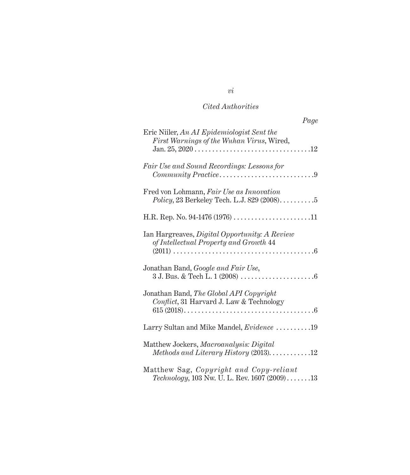| Page                                                                                                   |
|--------------------------------------------------------------------------------------------------------|
| Eric Niiler, An AI Epidemiologist Sent the<br>First Warnings of the Wuhan Virus, Wired,                |
| Fair Use and Sound Recordings: Lessons for<br>Community Practice9                                      |
| Fred von Lohmann, Fair Use as Innovation<br>Policy, 23 Berkeley Tech. L.J. 829 (2008)5                 |
|                                                                                                        |
| Ian Hargreaves, Digital Opportunity: A Review<br>of Intellectual Property and Growth 44                |
| Jonathan Band, Google and Fair Use,                                                                    |
| Jonathan Band, The Global API Copyright<br>Conflict, 31 Harvard J. Law & Technology                    |
| Larry Sultan and Mike Mandel, <i>Evidence</i> 19                                                       |
| Matthew Jockers, Macroanalysis: Digital<br>Methods and Literary History (2013). $\dots \dots \dots 12$ |
| Matthew Sag, Copyright and Copy-reliant<br>Technology, 103 Nw. U. L. Rev. 1607 (2009)13                |

*vi*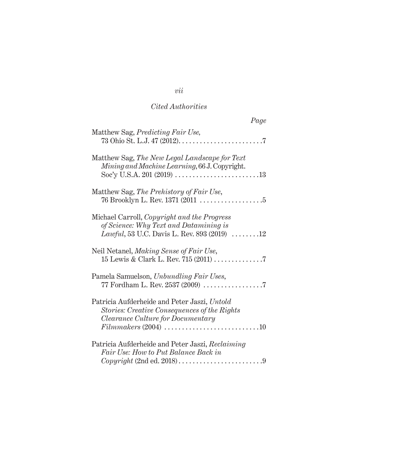| Page                                                                                                                                                                                                                        |
|-----------------------------------------------------------------------------------------------------------------------------------------------------------------------------------------------------------------------------|
| Matthew Sag, <i>Predicting Fair Use</i> ,                                                                                                                                                                                   |
| Matthew Sag, The New Legal Landscape for Text<br>Mining and Machine Learning, 66 J. Copyright.                                                                                                                              |
| Matthew Sag, The Prehistory of Fair Use,<br>76 Brooklyn L. Rev. 1371 (2011 $\ldots \ldots \ldots \ldots \ldots 5$                                                                                                           |
| Michael Carroll, Copyright and the Progress<br>of Science: Why Text and Datamining is<br><i>Lawful</i> , 53 U.C. Davis L. Rev. 893 (2019) $\ldots \ldots \ldots 12$                                                         |
| Neil Netanel, Making Sense of Fair Use,                                                                                                                                                                                     |
| Pamela Samuelson, Unbundling Fair Uses,                                                                                                                                                                                     |
| Patricia Aufderheide and Peter Jaszi, Untold<br><b>Stories: Creative Consequences of the Rights</b><br>Clearance Culture for Documentary<br>$Film makers (2004) \ldots \ldots \ldots \ldots \ldots \ldots \ldots \ldots 10$ |
| Patricia Aufderheide and Peter Jaszi, Reclaiming<br>Fair Use: How to Put Balance Back in                                                                                                                                    |

*vii*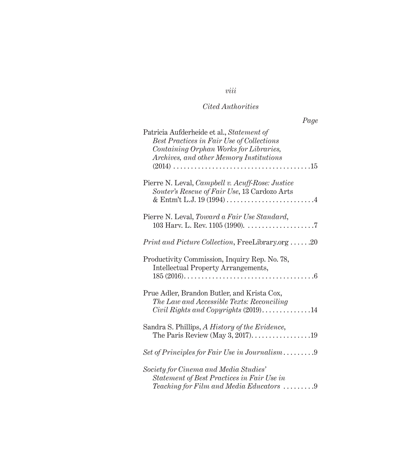# *viii*

# *Cited Authorities*

| Page                                                                                                                                                                        |
|-----------------------------------------------------------------------------------------------------------------------------------------------------------------------------|
| Patricia Aufderheide et al., Statement of<br>Best Practices in Fair Use of Collections<br>Containing Orphan Works for Libraries,<br>Archives, and other Memory Institutions |
| Pierre N. Leval, Campbell v. Acuff-Rose: Justice<br>Souter's Rescue of Fair Use, 13 Cardozo Arts                                                                            |
| Pierre N. Leval, Toward a Fair Use Standard,                                                                                                                                |
| $Print\ and\ Picture\ Collection, FreeLibrary.org \ldots 20$                                                                                                                |
| Productivity Commission, Inquiry Rep. No. 78,<br><b>Intellectual Property Arrangements,</b>                                                                                 |
| Prue Adler, Brandon Butler, and Krista Cox,<br>The Law and Accessible Texts: Reconciling<br>$Civil$ Rights and Copyrights $(2019)$ 14                                       |
| Sandra S. Phillips, A History of the Evidence,<br>The Paris Review (May 3, 2017). $\dots$ 19                                                                                |
|                                                                                                                                                                             |
| Society for Cinema and Media Studies'<br>Statement of Best Practices in Fair Use in<br>Teaching for Film and Media Educators 9                                              |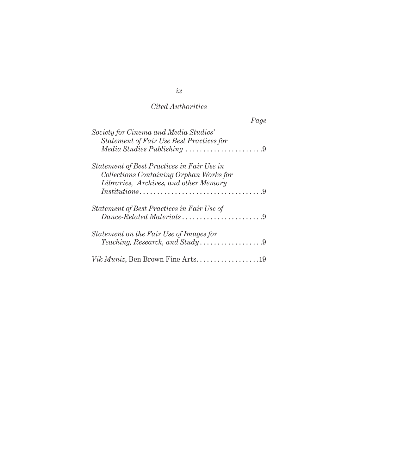|                                                                                   | Page |
|-----------------------------------------------------------------------------------|------|
| Society for Cinema and Media Studies'<br>Statement of Fair Use Best Practices for |      |
| $Media Studies Publishing \ldots \ldots \ldots \ldots \ldots \ldots \ldots 9$     |      |
| Statement of Best Practices in Fair Use in                                        |      |
| Collections Containing Orphan Works for                                           |      |
| Libraries, Archives, and other Memory                                             |      |
|                                                                                   |      |
| Statement of Best Practices in Fair Use of                                        |      |
| $Dance-Related \, Materials \dots \dots \dots \dots \dots \dots \dots 9$          |      |
| Statement on the Fair Use of Images for                                           |      |
|                                                                                   |      |
| <i>Vik Muniz</i> , Ben Brown Fine Arts                                            |      |

*ix*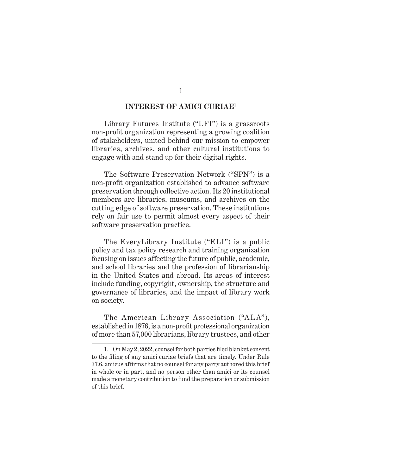#### **INTEREST OF AMICI CURIAE1**

Library Futures Institute ("LFI") is a grassroots non-profit organization representing a growing coalition of stakeholders, united behind our mission to empower libraries, archives, and other cultural institutions to engage with and stand up for their digital rights.

The Software Preservation Network ("SPN") is a non-profit organization established to advance software preservation through collective action. Its 20 institutional members are libraries, museums, and archives on the cutting edge of software preservation. These institutions rely on fair use to permit almost every aspect of their software preservation practice.

The EveryLibrary Institute ("ELI") is a public policy and tax policy research and training organization focusing on issues affecting the future of public, academic, and school libraries and the profession of librarianship in the United States and abroad. Its areas of interest include funding, copyright, ownership, the structure and governance of libraries, and the impact of library work on society.

The American Library Association ("ALA"), established in 1876, is a non-profit professional organization of more than 57,000 librarians, library trustees, and other

<sup>1.</sup> On May 2, 2022, counsel for both parties filed blanket consent to the filing of any amici curiae briefs that are timely. Under Rule 37.6, amicus affirms that no counsel for any party authored this brief in whole or in part, and no person other than amici or its counsel made a monetary contribution to fund the preparation or submission of this brief.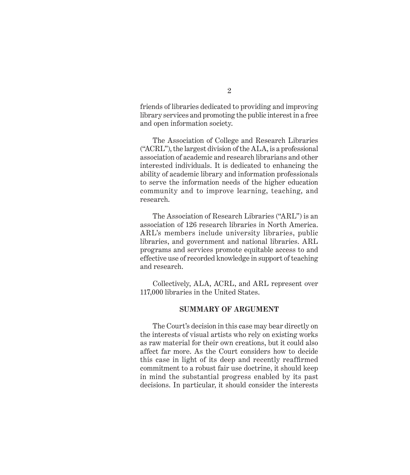friends of libraries dedicated to providing and improving library services and promoting the public interest in a free and open information society.

The Association of College and Research Libraries ("ACRL"), the largest division of the ALA, is a professional association of academic and research librarians and other interested individuals. It is dedicated to enhancing the ability of academic library and information professionals to serve the information needs of the higher education community and to improve learning, teaching, and research.

The Association of Research Libraries ("ARL") is an association of 126 research libraries in North America. ARL's members include university libraries, public libraries, and government and national libraries. ARL programs and services promote equitable access to and effective use of recorded knowledge in support of teaching and research.

Collectively, ALA, ACRL, and ARL represent over 117,000 libraries in the United States.

#### **SUMMARY OF ARGUMENT**

The Court's decision in this case may bear directly on the interests of visual artists who rely on existing works as raw material for their own creations, but it could also affect far more. As the Court considers how to decide this case in light of its deep and recently reaffirmed commitment to a robust fair use doctrine, it should keep in mind the substantial progress enabled by its past decisions. In particular, it should consider the interests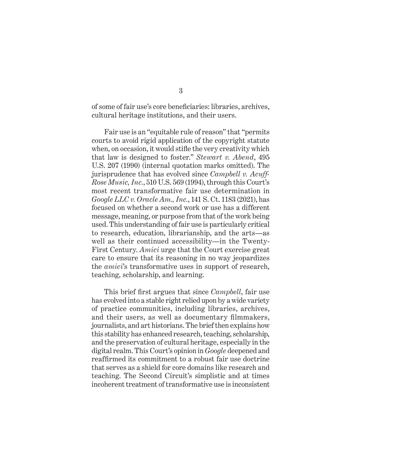of some of fair use's core beneficiaries: libraries, archives, cultural heritage institutions, and their users.

Fair use is an "equitable rule of reason" that "permits courts to avoid rigid application of the copyright statute when, on occasion, it would stifle the very creativity which that law is designed to foster." *Stewart v. Abend*, 495 U.S. 207 (1990) (internal quotation marks omitted). The jurisprudence that has evolved since *Campbell v. Acuff-Rose Music, Inc.*, 510 U.S. 569 (1994), through this Court's most recent transformative fair use determination in *Google LLC v. Oracle Am., Inc.*, 141 S. Ct. 1183 (2021), has focused on whether a second work or use has a different message, meaning, or purpose from that of the work being used. This understanding of fair use is particularly critical to research, education, librarianship, and the arts—as well as their continued accessibility—in the Twenty-First Century. *Amici* urge that the Court exercise great care to ensure that its reasoning in no way jeopardizes the *amici*'s transformative uses in support of research, teaching, scholarship, and learning.

This brief first argues that since *Campbell*, fair use has evolved into a stable right relied upon by a wide variety of practice communities, including libraries, archives, and their users, as well as documentary filmmakers, journalists, and art historians. The brief then explains how this stability has enhanced research, teaching, scholarship, and the preservation of cultural heritage, especially in the digital realm. This Court's opinion in *Google* deepened and reaffirmed its commitment to a robust fair use doctrine that serves as a shield for core domains like research and teaching. The Second Circuit's simplistic and at times incoherent treatment of transformative use is inconsistent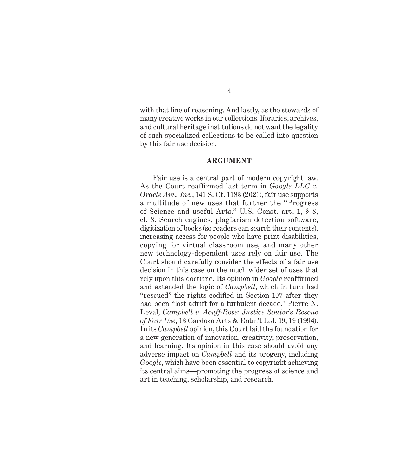with that line of reasoning. And lastly, as the stewards of many creative works in our collections, libraries, archives, and cultural heritage institutions do not want the legality of such specialized collections to be called into question by this fair use decision.

#### **ARGUMENT**

Fair use is a central part of modern copyright law. As the Court reaffirmed last term in *Google LLC v. Oracle Am., Inc.*, 141 S. Ct. 1183 (2021), fair use supports a multitude of new uses that further the "Progress of Science and useful Arts." U.S. Const. art. 1, § 8, cl. 8. Search engines, plagiarism detection software, digitization of books (so readers can search their contents), increasing access for people who have print disabilities, copying for virtual classroom use, and many other new technology-dependent uses rely on fair use. The Court should carefully consider the effects of a fair use decision in this case on the much wider set of uses that rely upon this doctrine. Its opinion in *Google* reaffirmed and extended the logic of *Campbell*, which in turn had "rescued" the rights codified in Section 107 after they had been "lost adrift for a turbulent decade." Pierre N. Leval, *Campbell v. Acuff-Rose: Justice Souter's Rescue of Fair Use*, 13 Cardozo Arts & Entm't L.J. 19, 19 (1994). In its *Campbell* opinion, this Court laid the foundation for a new generation of innovation, creativity, preservation, and learning. Its opinion in this case should avoid any adverse impact on *Campbell* and its progeny, including *Google*, which have been essential to copyright achieving its central aims—promoting the progress of science and art in teaching, scholarship, and research.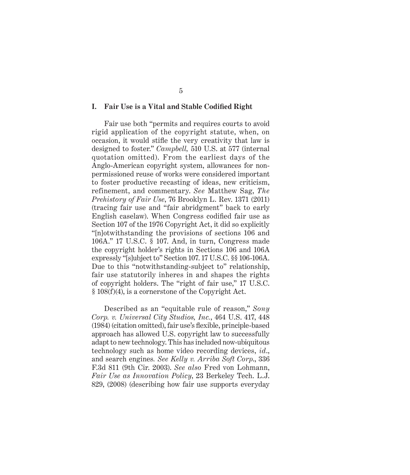#### **I. Fair Use is a Vital and Stable Codified Right**

Fair use both "permits and requires courts to avoid rigid application of the copyright statute, when, on occasion, it would stifle the very creativity that law is designed to foster." *Campbell,* 510 U.S. at 577 (internal quotation omitted). From the earliest days of the Anglo-American copyright system, allowances for nonpermissioned reuse of works were considered important to foster productive recasting of ideas, new criticism, refinement, and commentary. *See* Matthew Sag, *The Prehistory of Fair Use*, 76 Brooklyn L. Rev. 1371 (2011) (tracing fair use and "fair abridgment" back to early English caselaw). When Congress codified fair use as Section 107 of the 1976 Copyright Act, it did so explicitly "[n]otwithstanding the provisions of sections 106 and 106A." 17 U.S.C. § 107. And, in turn, Congress made the copyright holder's rights in Sections 106 and 106A expressly "[s]ubject to" Section 107. 17 U.S.C. §§ 106-106A. Due to this "notwithstanding-subject to" relationship, fair use statutorily inheres in and shapes the rights of copyright holders. The "right of fair use," 17 U.S.C. § 108(f)(4), is a cornerstone of the Copyright Act.

Described as an "equitable rule of reason," *Sony Corp. v. Universal City Studios, Inc.*, 464 U.S. 417, 448 (1984) (citation omitted), fair use's flexible, principle-based approach has allowed U.S. copyright law to successfully adapt to new technology. This has included now-ubiquitous technology such as home video recording devices, *id*., and search engines*. See Kelly v. Arriba Soft Corp*., 336 F.3d 811 (9th Cir. 2003). *See also* Fred von Lohmann, *Fair Use as Innovation Policy*, 23 Berkeley Tech. L.J. 829, (2008) (describing how fair use supports everyday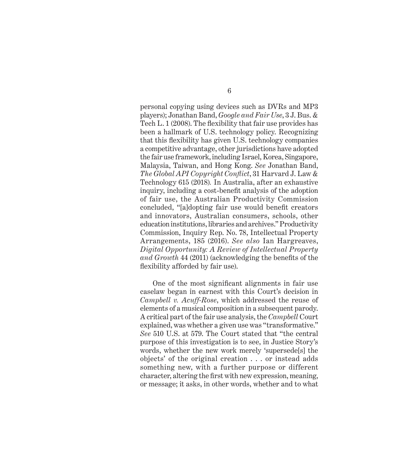personal copying using devices such as DVRs and MP3 players); Jonathan Band, *Google and Fair Use*, 3 J. Bus. & Tech L. 1 (2008). The flexibility that fair use provides has been a hallmark of U.S. technology policy. Recognizing that this flexibility has given U.S. technology companies a competitive advantage, other jurisdictions have adopted the fair use framework, including Israel, Korea, Singapore, Malaysia, Taiwan, and Hong Kong. *See* Jonathan Band, *The Global API Copyright Conflict*, 31 Harvard J. Law & Technology 615 (2018)*.* In Australia, after an exhaustive inquiry, including a cost-benefit analysis of the adoption of fair use, the Australian Productivity Commission concluded, "[a]dopting fair use would benefit creators and innovators, Australian consumers, schools, other education institutions, libraries and archives." Productivity Commission, Inquiry Rep. No. 78, Intellectual Property Arrangements, 185 (2016). *See also* Ian Hargreaves, *Digital Opportunity: A Review of Intellectual Property and Growth* 44 (2011) (acknowledging the benefits of the flexibility afforded by fair use).

One of the most significant alignments in fair use caselaw began in earnest with this Court's decision in *Campbell v. Acuff-Rose*, which addressed the reuse of elements of a musical composition in a subsequent parody. A critical part of the fair use analysis, the *Campbell* Court explained, was whether a given use was "transformative." *See* 510 U.S. at 579. The Court stated that "the central purpose of this investigation is to see, in Justice Story's words, whether the new work merely 'supersede[s] the objects' of the original creation . . . or instead adds something new, with a further purpose or different character, altering the first with new expression, meaning, or message; it asks, in other words, whether and to what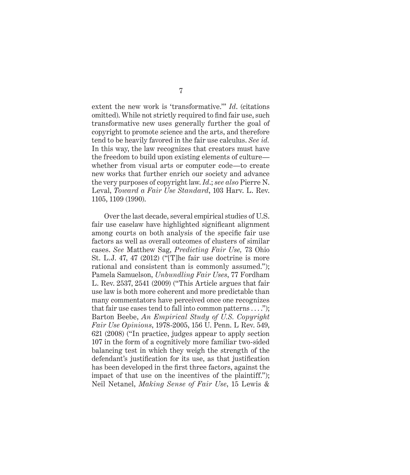extent the new work is 'transformative.'" *Id*. (citations omitted). While not strictly required to find fair use, such transformative new uses generally further the goal of copyright to promote science and the arts, and therefore tend to be heavily favored in the fair use calculus. *See id.*  In this way, the law recognizes that creators must have the freedom to build upon existing elements of culture whether from visual arts or computer code—to create new works that further enrich our society and advance the very purposes of copyright law. *Id*.; *see also* Pierre N. Leval, *Toward a Fair Use Standard*, 103 Harv. L. Rev. 1105, 1109 (1990).

Over the last decade, several empirical studies of U.S. fair use caselaw have highlighted significant alignment among courts on both analysis of the specific fair use factors as well as overall outcomes of clusters of similar cases. *See* Matthew Sag, *Predicting Fair Use,* 73 Ohio St. L.J. 47, 47 (2012) ("[T]he fair use doctrine is more rational and consistent than is commonly assumed."); Pamela Samuelson, *Unbundling Fair Uses*, 77 Fordham L. Rev. 2537, 2541 (2009) ("This Article argues that fair use law is both more coherent and more predictable than many commentators have perceived once one recognizes that fair use cases tend to fall into common patterns  $\dots$ "); Barton Beebe, *An Empirical Study of U.S. Copyright Fair Use Opinions*, 1978-2005, 156 U. Penn. L Rev. 549, 621 (2008) ("In practice, judges appear to apply section 107 in the form of a cognitively more familiar two-sided balancing test in which they weigh the strength of the defendant's justification for its use, as that justification has been developed in the first three factors, against the impact of that use on the incentives of the plaintiff."); Neil Netanel, *Making Sense of Fair Use*, 15 Lewis &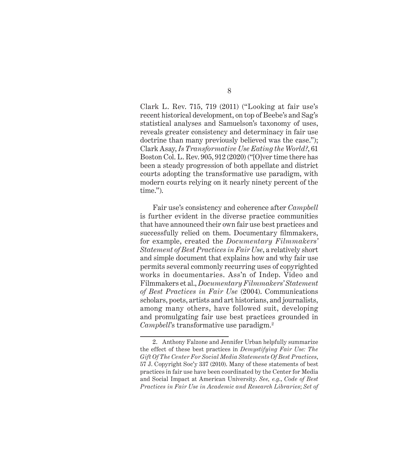Clark L. Rev. 715, 719 (2011) ("Looking at fair use's recent historical development, on top of Beebe's and Sag's statistical analyses and Samuelson's taxonomy of uses, reveals greater consistency and determinacy in fair use doctrine than many previously believed was the case."); Clark Asay, *Is Transformative Use Eating the World?*, 61 Boston Col. L. Rev. 905, 912 (2020) ("[O]ver time there has been a steady progression of both appellate and district courts adopting the transformative use paradigm, with modern courts relying on it nearly ninety percent of the time.").

Fair use's consistency and coherence after *Campbell*  is further evident in the diverse practice communities that have announced their own fair use best practices and successfully relied on them. Documentary filmmakers, for example, created the *Documentary Filmmakers' Statement of Best Practices in Fair Use*, a relatively short and simple document that explains how and why fair use permits several commonly recurring uses of copyrighted works in documentaries. Ass'n of Indep. Video and Filmmakers et al., *Documentary Filmmakers' Statement of Best Practices in Fair Use* (2004). Communications scholars, poets, artists and art historians, and journalists, among many others, have followed suit, developing and promulgating fair use best practices grounded in *Campbell*'s transformative use paradigm.<sup>2</sup>

<sup>2.</sup> Anthony Falzone and Jennifer Urban helpfully summarize the effect of these best practices in *Demystifying Fair Use: The Gift Of The Center For Social Media Statements Of Best Practices*, 57 J. Copyright Soc'y 337 (2010). Many of these statements of best practices in fair use have been coordinated by the Center for Media and Social Impact at American University. *See, e.g*., *Code of Best Practices in Fair Use in Academic and Research Libraries*; *Set of*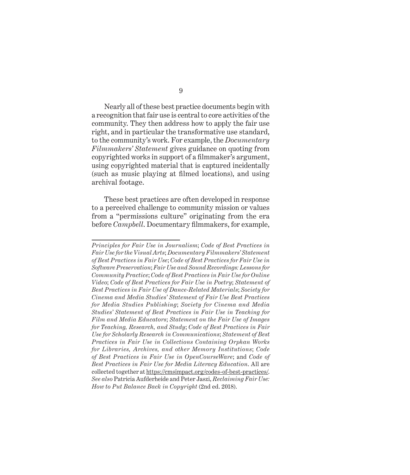9

Nearly all of these best practice documents begin with a recognition that fair use is central to core activities of the community. They then address how to apply the fair use right, and in particular the transformative use standard, to the community's work. For example, the *Documentary Filmmakers' Statement* gives guidance on quoting from copyrighted works in support of a filmmaker's argument, using copyrighted material that is captured incidentally (such as music playing at filmed locations), and using archival footage.

These best practices are often developed in response to a perceived challenge to community mission or values from a "permissions culture" originating from the era before *Campbell*. Documentary filmmakers, for example,

*Principles for Fair Use in Journalism*; *Code of Best Practices in Fair Use for the Visual Arts*; *Documentary Filmmakers' Statement of Best Practices in Fair Use*; *Code of Best Practices for Fair Use in Software Preservation*; *Fair Use and Sound Recordings: Lessons for Community Practice*; *Code of Best Practices in Fair Use for Online Video*; *Code of Best Practices for Fair Use in Poetry*; *Statement of Best Practices in Fair Use of Dance-Related Materials*; *Society for Cinema and Media Studies' Statement of Fair Use Best Practices for Media Studies Publishing*; *Society for Cinema and Media Studies' Statement of Best Practices in Fair Use in Teaching for Film and Media Educators*; *Statement on the Fair Use of Images for Teaching, Research, and Study*; *Code of Best Practices in Fair Use for Scholarly Research in Communications*; *Statement of Best Practices in Fair Use in Collections Containing Orphan Works for Libraries, Archives, and other Memory Institutions*; *Code of Best Practices in Fair Use in OpenCourseWare*; and *Code of Best Practices in Fair Use for Media Literacy Education*. All are collected together at https://cmsimpact.org/codes-of-best-practices/. *See also* Patricia Aufderheide and Peter Jaszi, *Reclaiming Fair Use: How to Put Balance Back in Copyright* (2nd ed. 2018).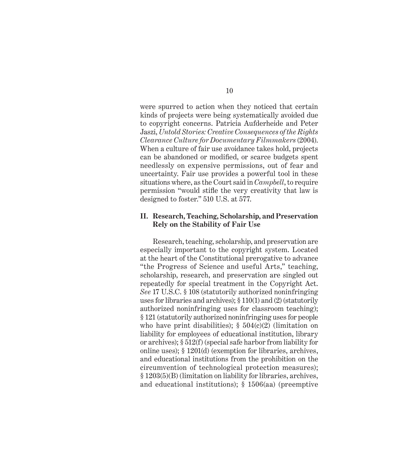were spurred to action when they noticed that certain kinds of projects were being systematically avoided due to copyright concerns. Patricia Aufderheide and Peter Jaszi, *Untold Stories: Creative Consequences of the Rights Clearance Culture for Documentary Filmmakers* (2004). When a culture of fair use avoidance takes hold, projects can be abandoned or modified, or scarce budgets spent needlessly on expensive permissions, out of fear and uncertainty. Fair use provides a powerful tool in these situations where, as the Court said in *Campbell*, to require permission "would stifle the very creativity that law is designed to foster." 510 U.S. at 577.

#### **II. Research, Teaching, Scholarship, and Preservation Rely on the Stability of Fair Use**

Research, teaching, scholarship, and preservation are especially important to the copyright system. Located at the heart of the Constitutional prerogative to advance "the Progress of Science and useful Arts," teaching, scholarship, research, and preservation are singled out repeatedly for special treatment in the Copyright Act. *See* 17 U.S.C. § 108 (statutorily authorized noninfringing uses for libraries and archives); § 110(1) and (2) (statutorily authorized noninfringing uses for classroom teaching); § 121 (statutorily authorized noninfringing uses for people who have print disabilities);  $\S$  504(c)(2) (limitation on liability for employees of educational institution, library or archives); § 512(f) (special safe harbor from liability for online uses); § 1201(d) (exemption for libraries, archives, and educational institutions from the prohibition on the circumvention of technological protection measures); § 1203(5)(B) (limitation on liability for libraries, archives, and educational institutions); § 1506(aa) (preemptive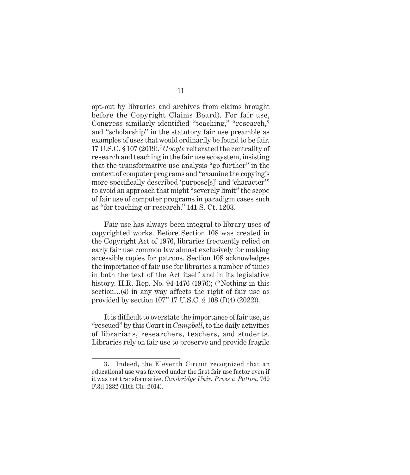opt-out by libraries and archives from claims brought before the Copyright Claims Board). For fair use, Congress similarly identified "teaching," "research," and "scholarship" in the statutory fair use preamble as examples of uses that would ordinarily be found to be fair. 17 U.S.C. § 107 (2019).3 *Google* reiterated the centrality of research and teaching in the fair use ecosystem, insisting that the transformative use analysis "go further" in the context of computer programs and "examine the copying's more specifically described 'purpose[s]' and 'character'" to avoid an approach that might "severely limit" the scope of fair use of computer programs in paradigm cases such as "for teaching or research." 141 S. Ct. 1203.

Fair use has always been integral to library uses of copyrighted works. Before Section 108 was created in the Copyright Act of 1976, libraries frequently relied on early fair use common law almost exclusively for making accessible copies for patrons. Section 108 acknowledges the importance of fair use for libraries a number of times in both the text of the Act itself and in its legislative history. H.R. Rep. No. 94-1476 (1976); ("Nothing in this section…(4) in any way affects the right of fair use as provided by section 107" 17 U.S.C. § 108 (f)(4) (2022)).

It is difficult to overstate the importance of fair use, as "rescued" by this Court in *Campbell*, to the daily activities of librarians, researchers, teachers, and students. Libraries rely on fair use to preserve and provide fragile

<sup>3.</sup> Indeed, the Eleventh Circuit recognized that an educational use was favored under the first fair use factor even if it was not transformative. *Cambridge Univ. Press v. Patton*, 769 F.3d 1232 (11th Cir. 2014).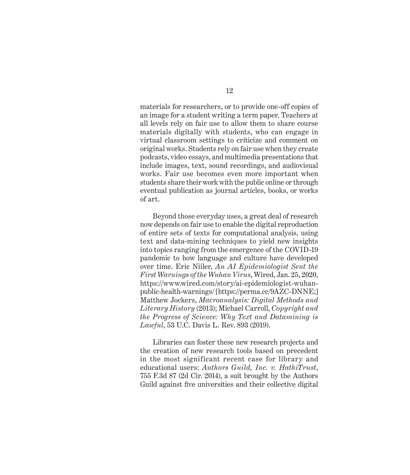materials for researchers, or to provide one-off copies of an image for a student writing a term paper. Teachers at all levels rely on fair use to allow them to share course materials digitally with students, who can engage in virtual classroom settings to criticize and comment on original works. Students rely on fair use when they create podcasts, video essays, and multimedia presentations that include images, text, sound recordings, and audiovisual works. Fair use becomes even more important when students share their work with the public online or through eventual publication as journal articles, books, or works of art.

Beyond those everyday uses, a great deal of research now depends on fair use to enable the digital reproduction of entire sets of texts for computational analysis, using text and data-mining techniques to yield new insights into topics ranging from the emergence of the COVID-19 pandemic to how language and culture have developed over time. Eric Niiler, *An AI Epidemiologist Sent the First Warnings of the Wuhan Virus*, Wired, Jan. 25, 2020, https://www.wired.com/story/ai-epidemiologist-wuhanpublic-health-warnings/ [https://perma.cc/9AZC-DNNE;] Matthew Jockers, *Macroanalysis: Digital Methods and Literary History* (2013); Michael Carroll, *Copyright and the Progress of Science: Why Text and Datamining is Lawful*, 53 U.C. Davis L. Rev. 893 (2019).

Libraries can foster these new research projects and the creation of new research tools based on precedent in the most significant recent case for library and educational users: *Authors Guild, Inc. v. HathiTrust*, 755 F.3d 87 (2d Cir. 2014), a suit brought by the Authors Guild against five universities and their collective digital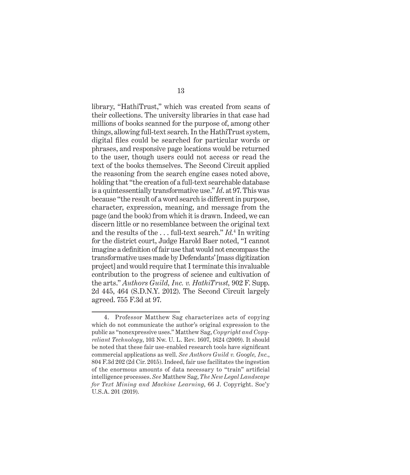library, "HathiTrust," which was created from scans of their collections. The university libraries in that case had millions of books scanned for the purpose of, among other things, allowing full-text search. In the HathiTrust system, digital files could be searched for particular words or phrases, and responsive page locations would be returned to the user, though users could not access or read the text of the books themselves. The Second Circuit applied the reasoning from the search engine cases noted above, holding that "the creation of a full-text searchable database is a quintessentially transformative use." *Id*. at 97. This was because "the result of a word search is different in purpose, character, expression, meaning, and message from the page (and the book) from which it is drawn. Indeed, we can discern little or no resemblance between the original text and the results of the . . . full-text search." *Id.*<sup>4</sup> In writing for the district court, Judge Harold Baer noted, "I cannot imagine a definition of fair use that would not encompass the transformative uses made by Defendants' [mass digitization project] and would require that I terminate this invaluable contribution to the progress of science and cultivation of the arts." *Authors Guild, Inc. v. HathiTrust,* 902 F. Supp. 2d 445, 464 (S.D.N.Y. 2012). The Second Circuit largely agreed. 755 F.3d at 97.

<sup>4.</sup> Professor Matthew Sag characterizes acts of copying which do not communicate the author's original expression to the public as "nonexpressive uses." Matthew Sag, *Copyright and Copyreliant Technology*, 103 Nw. U. L. Rev. 1607, 1624 (2009). It should be noted that these fair use-enabled research tools have significant commercial applications as well. *See Authors Guild v. Google, Inc.*, 804 F.3d 202 (2d Cir. 2015). Indeed, fair use facilitates the ingestion of the enormous amounts of data necessary to "train" artificial intelligence processes. *See* Matthew Sag, *The New Legal Landscape for Text Mining and Machine Learning*, 66 J. Copyright. Soc'y U.S.A. 201 (2019).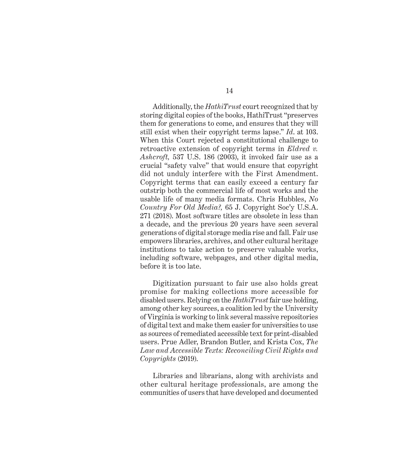Additionally, the *HathiTrust* court recognized that by storing digital copies of the books, HathiTrust "preserves them for generations to come, and ensures that they will still exist when their copyright terms lapse." *Id*. at 103. When this Court rejected a constitutional challenge to retroactive extension of copyright terms in *Eldred v. Ashcroft,* 537 U.S. 186 (2003), it invoked fair use as a crucial "safety valve" that would ensure that copyright did not unduly interfere with the First Amendment. Copyright terms that can easily exceed a century far outstrip both the commercial life of most works and the usable life of many media formats. Chris Hubbles, *No Country For Old Media?,* 65 J. Copyright Soc'y U.S.A. 271 (2018). Most software titles are obsolete in less than a decade, and the previous 20 years have seen several generations of digital storage media rise and fall. Fair use empowers libraries, archives, and other cultural heritage institutions to take action to preserve valuable works, including software, webpages, and other digital media, before it is too late.

Digitization pursuant to fair use also holds great promise for making collections more accessible for disabled users. Relying on the *HathiTrust* fair use holding, among other key sources, a coalition led by the University of Virginia is working to link several massive repositories of digital text and make them easier for universities to use as sources of remediated accessible text for print-disabled users. Prue Adler, Brandon Butler, and Krista Cox, *The Law and Accessible Texts: Reconciling Civil Rights and Copyrights* (2019).

Libraries and librarians, along with archivists and other cultural heritage professionals, are among the communities of users that have developed and documented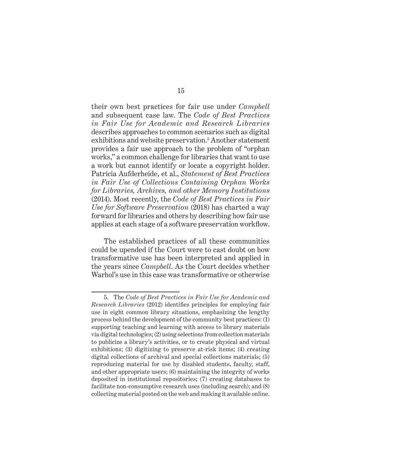their own best practices for fair use under *Campbell* and subsequent case law. The *Code of Best Practices in Fair Use for Academic and Research Libraries* describes approaches to common scenarios such as digital exhibitions and website preservation.<sup>5</sup> Another statement provides a fair use approach to the problem of "orphan works," a common challenge for libraries that want to use a work but cannot identify or locate a copyright holder. Patricia Aufderheide, et al., *Statement of Best Practices in Fair Use of Collections Containing Orphan Works for Libraries, Archives, and other Memory Institutions* (2014). Most recently, the *Code of Best Practices in Fair Use for Software Preservation* (2018) has charted a way forward for libraries and others by describing how fair use applies at each stage of a software preservation workflow.

The established practices of all these communities could be upended if the Court were to cast doubt on how transformative use has been interpreted and applied in the years since *Campbell*. As the Court decides whether Warhol's use in this case was transformative or otherwise

<sup>5.</sup> The *Code of Best Practices in Fair Use for Academic and Research Libraries* (2012) identifies principles for employing fair use in eight common library situations, emphasizing the lengthy process behind the development of the community best practices: (1) supporting teaching and learning with access to library materials via digital technologies; (2) using selections from collection materials to publicize a library's activities, or to create physical and virtual exhibitions; (3) digitizing to preserve at-risk items; (4) creating digital collections of archival and special collections materials; (5) reproducing material for use by disabled students, faculty, staff, and other appropriate users; (6) maintaining the integrity of works deposited in institutional repositories; (7) creating databases to facilitate non-consumptive research uses (including search); and (8) collecting material posted on the web and making it available online.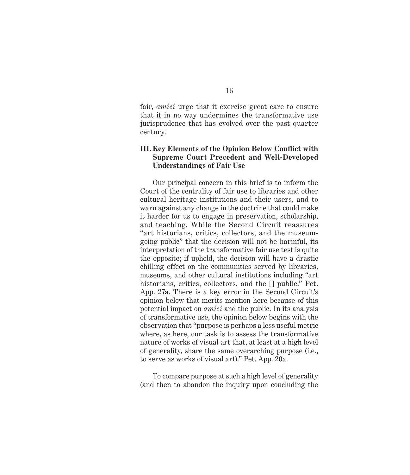fair, *amici* urge that it exercise great care to ensure that it in no way undermines the transformative use jurisprudence that has evolved over the past quarter century.

#### **III. Key Elements of the Opinion Below Conflict with Supreme Court Precedent and Well-Developed Understandings of Fair Use**

Our principal concern in this brief is to inform the Court of the centrality of fair use to libraries and other cultural heritage institutions and their users, and to warn against any change in the doctrine that could make it harder for us to engage in preservation, scholarship, and teaching. While the Second Circuit reassures "art historians, critics, collectors, and the museumgoing public" that the decision will not be harmful, its interpretation of the transformative fair use test is quite the opposite; if upheld, the decision will have a drastic chilling effect on the communities served by libraries, museums, and other cultural institutions including "art historians, critics, collectors, and the [] public." Pet. App. 27a. There is a key error in the Second Circuit's opinion below that merits mention here because of this potential impact on *amici* and the public. In its analysis of transformative use, the opinion below begins with the observation that "purpose is perhaps a less useful metric where, as here, our task is to assess the transformative nature of works of visual art that, at least at a high level of generality, share the same overarching purpose (i.e., to serve as works of visual art)." Pet. App. 20a.

To compare purpose at such a high level of generality (and then to abandon the inquiry upon concluding the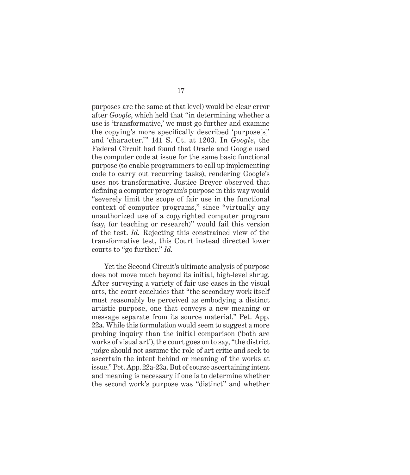purposes are the same at that level) would be clear error after *Google*, which held that "in determining whether a use is 'transformative,' we must go further and examine the copying's more specifically described 'purpose[s]' and 'character.'" 141 S. Ct. at 1203. In *Google*, the Federal Circuit had found that Oracle and Google used the computer code at issue for the same basic functional purpose (to enable programmers to call up implementing code to carry out recurring tasks), rendering Google's uses not transformative. Justice Breyer observed that defining a computer program's purpose in this way would "severely limit the scope of fair use in the functional context of computer programs," since "virtually any unauthorized use of a copyrighted computer program (say, for teaching or research)" would fail this version of the test. *Id.* Rejecting this constrained view of the transformative test, this Court instead directed lower courts to "go further." *Id.*

Yet the Second Circuit's ultimate analysis of purpose does not move much beyond its initial, high-level shrug. After surveying a variety of fair use cases in the visual arts, the court concludes that "the secondary work itself must reasonably be perceived as embodying a distinct artistic purpose, one that conveys a new meaning or message separate from its source material." Pet. App. 22a. While this formulation would seem to suggest a more probing inquiry than the initial comparison ('both are works of visual art'), the court goes on to say, "the district judge should not assume the role of art critic and seek to ascertain the intent behind or meaning of the works at issue." Pet. App. 22a-23a. But of course ascertaining intent and meaning is necessary if one is to determine whether the second work's purpose was "distinct" and whether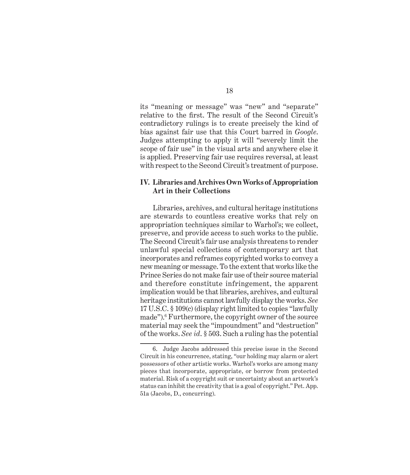its "meaning or message" was "new" and "separate" relative to the first. The result of the Second Circuit's contradictory rulings is to create precisely the kind of bias against fair use that this Court barred in *Google*. Judges attempting to apply it will "severely limit the scope of fair use" in the visual arts and anywhere else it is applied. Preserving fair use requires reversal, at least with respect to the Second Circuit's treatment of purpose.

#### **IV. Libraries and Archives Own Works of Appropriation Art in their Collections**

Libraries, archives, and cultural heritage institutions are stewards to countless creative works that rely on appropriation techniques similar to Warhol's; we collect, preserve, and provide access to such works to the public. The Second Circuit's fair use analysis threatens to render unlawful special collections of contemporary art that incorporates and reframes copyrighted works to convey a new meaning or message. To the extent that works like the Prince Series do not make fair use of their source material and therefore constitute infringement, the apparent implication would be that libraries, archives, and cultural heritage institutions cannot lawfully display the works. *See* 17 U.S.C. § 109(c) (display right limited to copies "lawfully made").<sup>6</sup> Furthermore, the copyright owner of the source material may seek the "impoundment" and "destruction" of the works. *See id*. § 503. Such a ruling has the potential

<sup>6.</sup> Judge Jacobs addressed this precise issue in the Second Circuit in his concurrence, stating, "our holding may alarm or alert possessors of other artistic works. Warhol's works are among many pieces that incorporate, appropriate, or borrow from protected material. Risk of a copyright suit or uncertainty about an artwork's status can inhibit the creativity that is a goal of copyright." Pet. App. 51a (Jacobs, D., concurring).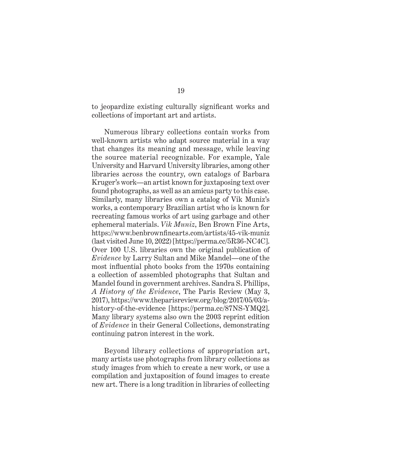to jeopardize existing culturally significant works and collections of important art and artists.

Numerous library collections contain works from well-known artists who adapt source material in a way that changes its meaning and message, while leaving the source material recognizable. For example, Yale University and Harvard University libraries, among other libraries across the country, own catalogs of Barbara Kruger's work—an artist known for juxtaposing text over found photographs, as well as an amicus party to this case. Similarly, many libraries own a catalog of Vik Muniz's works, a contemporary Brazilian artist who is known for recreating famous works of art using garbage and other ephemeral materials. *Vik Muniz*, Ben Brown Fine Arts, https://www.benbrownfinearts.com/artists/45-vik-muniz (last visited June 10, 2022) [https://perma.cc/5R36-NC4C]. Over 100 U.S. libraries own the original publication of *Evidence* by Larry Sultan and Mike Mandel—one of the most influential photo books from the 1970s containing a collection of assembled photographs that Sultan and Mandel found in government archives. Sandra S. Phillips, *A History of the Evidence*, The Paris Review (May 3, 2017), https://www.theparisreview.org/blog/2017/05/03/ahistory-of-the-evidence [https://perma.cc/87NS-YMQ2]. Many library systems also own the 2003 reprint edition of *Evidence* in their General Collections, demonstrating continuing patron interest in the work.

Beyond library collections of appropriation art, many artists use photographs from library collections as study images from which to create a new work, or use a compilation and juxtaposition of found images to create new art. There is a long tradition in libraries of collecting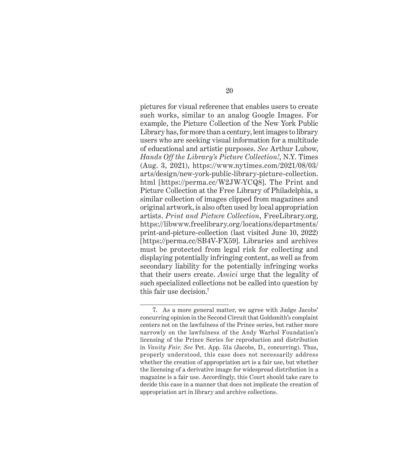pictures for visual reference that enables users to create such works, similar to an analog Google Images. For example, the Picture Collection of the New York Public Library has, for more than a century, lent images to library users who are seeking visual information for a multitude of educational and artistic purposes. *See* Arthur Lubow, *Hands Off the Library's Picture Collection!*, N.Y. Times (Aug. 3, 2021), https://www.nytimes.com/2021/08/03/ arts/design/new-york-public-library-picture-collection. html [https://perma.cc/W2JW-YCQ8]. The Print and Picture Collection at the Free Library of Philadelphia, a similar collection of images clipped from magazines and original artwork, is also often used by local appropriation artists. *Print and Picture Collection*, FreeLibrary.org, https://libwww.freelibrary.org/locations/departments/ print-and-picture-collection (last visited June 10, 2022) [https://perma.cc/SB4V-FX59]. Libraries and archives must be protected from legal risk for collecting and displaying potentially infringing content, as well as from secondary liability for the potentially infringing works that their users create. *Amici* urge that the legality of such specialized collections not be called into question by this fair use decision.7

<sup>7.</sup> As a more general matter, we agree with Judge Jacobs' concurring opinion in the Second Circuit that Goldsmith's complaint centers not on the lawfulness of the Prince series, but rather more narrowly on the lawfulness of the Andy Warhol Foundation's licensing of the Prince Series for reproduction and distribution in *Vanity Fair*. *See* Pet. App. 51a (Jacobs, D., concurring). Thus, properly understood, this case does not necessarily address whether the creation of appropriation art is a fair use, but whether the licensing of a derivative image for widespread distribution in a magazine is a fair use. Accordingly, this Court should take care to decide this case in a manner that does not implicate the creation of appropriation art in library and archive collections.